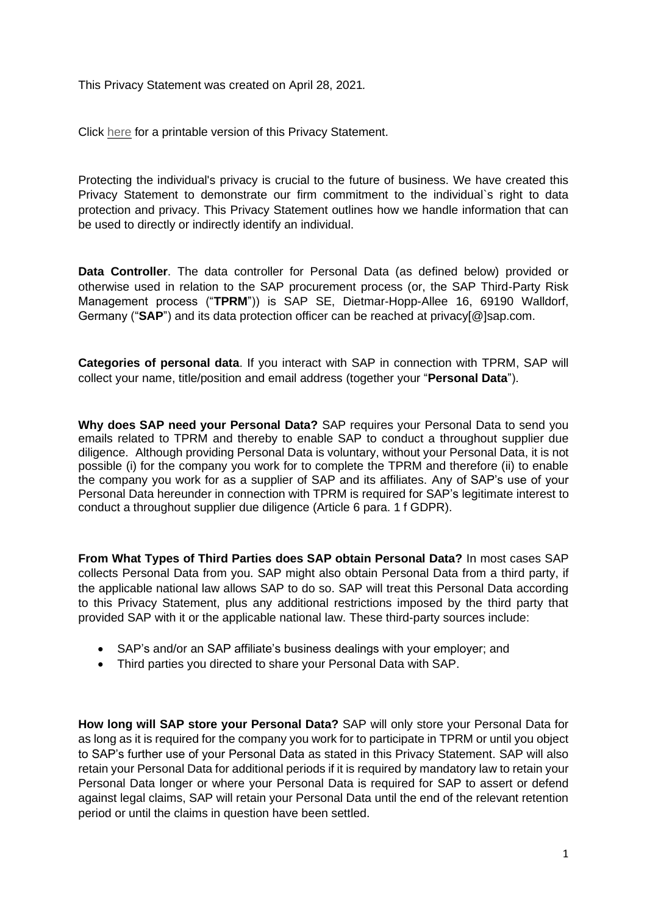This Privacy Statement was created on April 28, 2021*.*

Click [here](https://assets.cdn.sap.com/agreements/supplier-portal/general-terms-and-conditions-for-procurement/privacy-statement-tprm.pdf) for a printable version of this Privacy Statement.

Protecting the individual's privacy is crucial to the future of business. We have created this Privacy Statement to demonstrate our firm commitment to the individual`s right to data protection and privacy. This Privacy Statement outlines how we handle information that can be used to directly or indirectly identify an individual.

**Data Controller**. The data controller for Personal Data (as defined below) provided or otherwise used in relation to the SAP procurement process (or, the SAP Third-Party Risk Management process ("**TPRM**")) is SAP SE, Dietmar-Hopp-Allee 16, 69190 Walldorf, Germany ("**SAP**") and its data protection officer can be reached at privacy[@]sap.com.

**Categories of personal data**. If you interact with SAP in connection with TPRM, SAP will collect your name, title/position and email address (together your "**Personal Data**").

**Why does SAP need your Personal Data?** SAP requires your Personal Data to send you emails related to TPRM and thereby to enable SAP to conduct a throughout supplier due diligence. Although providing Personal Data is voluntary, without your Personal Data, it is not possible (i) for the company you work for to complete the TPRM and therefore (ii) to enable the company you work for as a supplier of SAP and its affiliates. Any of SAP's use of your Personal Data hereunder in connection with TPRM is required for SAP's legitimate interest to conduct a throughout supplier due diligence (Article 6 para. 1 f GDPR).

**From What Types of Third Parties does SAP obtain Personal Data?** In most cases SAP collects Personal Data from you. SAP might also obtain Personal Data from a third party, if the applicable national law allows SAP to do so. SAP will treat this Personal Data according to this Privacy Statement, plus any additional restrictions imposed by the third party that provided SAP with it or the applicable national law. These third-party sources include:

- SAP's and/or an SAP affiliate's business dealings with your employer; and
- Third parties you directed to share your Personal Data with SAP.

**How long will SAP store your Personal Data?** SAP will only store your Personal Data for as long as it is required for the company you work for to participate in TPRM or until you object to SAP's further use of your Personal Data as stated in this Privacy Statement. SAP will also retain your Personal Data for additional periods if it is required by mandatory law to retain your Personal Data longer or where your Personal Data is required for SAP to assert or defend against legal claims, SAP will retain your Personal Data until the end of the relevant retention period or until the claims in question have been settled.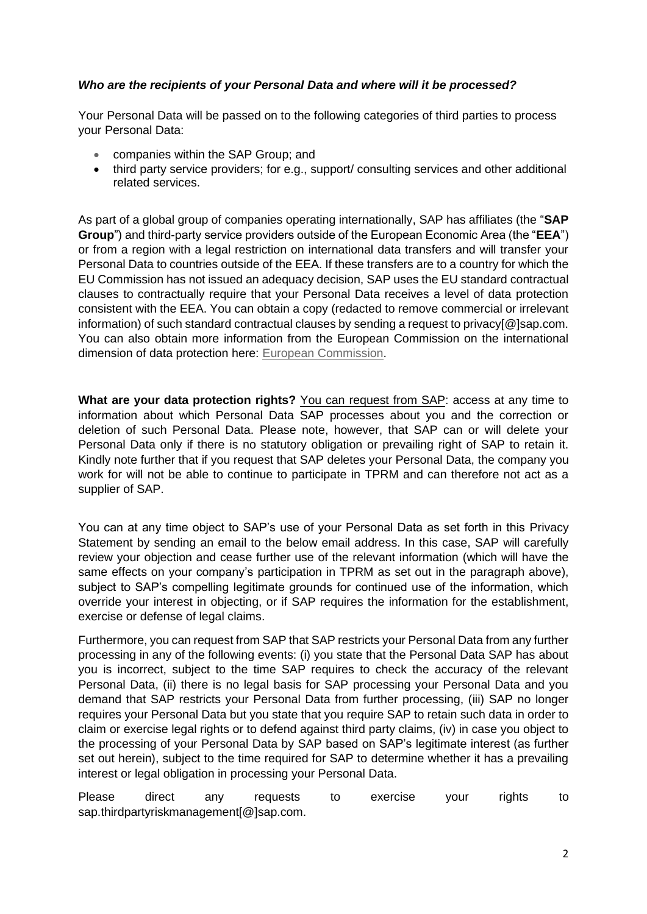## *Who are the recipients of your Personal Data and where will it be processed?*

Your Personal Data will be passed on to the following categories of third parties to process your Personal Data:

- companies within the SAP Group; and
- third party service providers; for e.g., support/ consulting services and other additional related services.

As part of a global group of companies operating internationally, SAP has affiliates (the "**SAP Group**") and third-party service providers outside of the European Economic Area (the "**EEA**") or from a region with a legal restriction on international data transfers and will transfer your Personal Data to countries outside of the EEA. If these transfers are to a country for which the EU Commission has not issued an adequacy decision, SAP uses the EU standard contractual clauses to contractually require that your Personal Data receives a level of data protection consistent with the EEA. You can obtain a copy (redacted to remove commercial or irrelevant information) of such standard contractual clauses by sending a request to privacy[@]sap.com. You can also obtain more information from the European Commission on the international dimension of data protection here: [European Commission.](https://ec.europa.eu/info/law/law-topic/data-protection/international-dimension-data-protection/standard-contractual-clauses-scc_fr)

**What are your data protection rights?** You can request from SAP: access at any time to information about which Personal Data SAP processes about you and the correction or deletion of such Personal Data. Please note, however, that SAP can or will delete your Personal Data only if there is no statutory obligation or prevailing right of SAP to retain it. Kindly note further that if you request that SAP deletes your Personal Data, the company you work for will not be able to continue to participate in TPRM and can therefore not act as a supplier of SAP.

You can at any time object to SAP's use of your Personal Data as set forth in this Privacy Statement by sending an email to the below email address. In this case, SAP will carefully review your objection and cease further use of the relevant information (which will have the same effects on your company's participation in TPRM as set out in the paragraph above), subject to SAP's compelling legitimate grounds for continued use of the information, which override your interest in objecting, or if SAP requires the information for the establishment, exercise or defense of legal claims.

Furthermore, you can request from SAP that SAP restricts your Personal Data from any further processing in any of the following events: (i) you state that the Personal Data SAP has about you is incorrect, subject to the time SAP requires to check the accuracy of the relevant Personal Data, (ii) there is no legal basis for SAP processing your Personal Data and you demand that SAP restricts your Personal Data from further processing, (iii) SAP no longer requires your Personal Data but you state that you require SAP to retain such data in order to claim or exercise legal rights or to defend against third party claims, (iv) in case you object to the processing of your Personal Data by SAP based on SAP's legitimate interest (as further set out herein), subject to the time required for SAP to determine whether it has a prevailing interest or legal obligation in processing your Personal Data.

Please direct any requests to exercise your rights to sap.thirdpartyriskmanagement[@]sap.com.